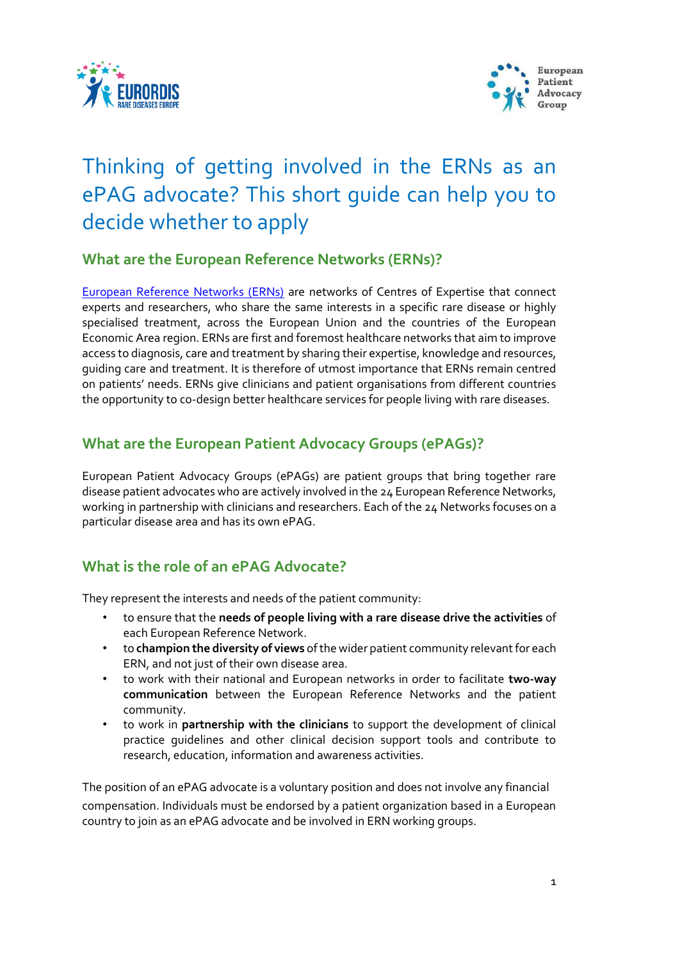



# Thinking of getting involved in the ERNs as an ePAG advocate? This short guide can help you to decide whether to apply

### **What are the [European Reference Networks \(ERNs\)?](https://webgate.ec.europa.eu/ern/)**

[European Reference Networks \(ERNs\)](https://ec.europa.eu/health/ern_en) are networks of Centres of Expertise that connect experts and researchers, who share the same interests in a specific rare disease or highly specialised treatment, across the European Union and the countries of the European Economic Area region. ERNs are first and foremost healthcare networks that aim to improve access to diagnosis, care and treatment by sharing their expertise, knowledge and resources, guiding care and treatment. It is therefore of utmost importance that ERNs remain centred on patients' needs. ERNs give clinicians and patient organisations from different countries the opportunity to co-design better healthcare services for people living with rare diseases.

### **What are the European Patient Advocacy Groups (ePAGs)?**

European Patient Advocacy Groups (ePAGs) are patient groups that bring together rare disease patient advocates who are actively involved in the 24 European Reference Networks, working in partnership with clinicians and researchers. Each of the 24 Networks focuses on a particular disease area and has its own ePAG.

## **What is the role of an ePAG Advocate?**

They represent the interests and needs of the patient community:

- to ensure that the **needs of people living with a rare disease drive the activities** of each European Reference Network.
- to **champion the diversity of views** of the wider patient community relevant for each ERN, and not just of their own disease area.
- to work with their national and European networks in order to facilitate **two-way communication** between the European Reference Networks and the patient community.
- to work in **partnership with the clinicians** to support the development of clinical practice guidelines and other clinical decision support tools and contribute to research, education, information and awareness activities.

The position of an ePAG advocate is a voluntary position and does not involve any financial compensation. Individuals must be endorsed by a patient organization based in a European country to join as an ePAG advocate and be involved in ERN working groups.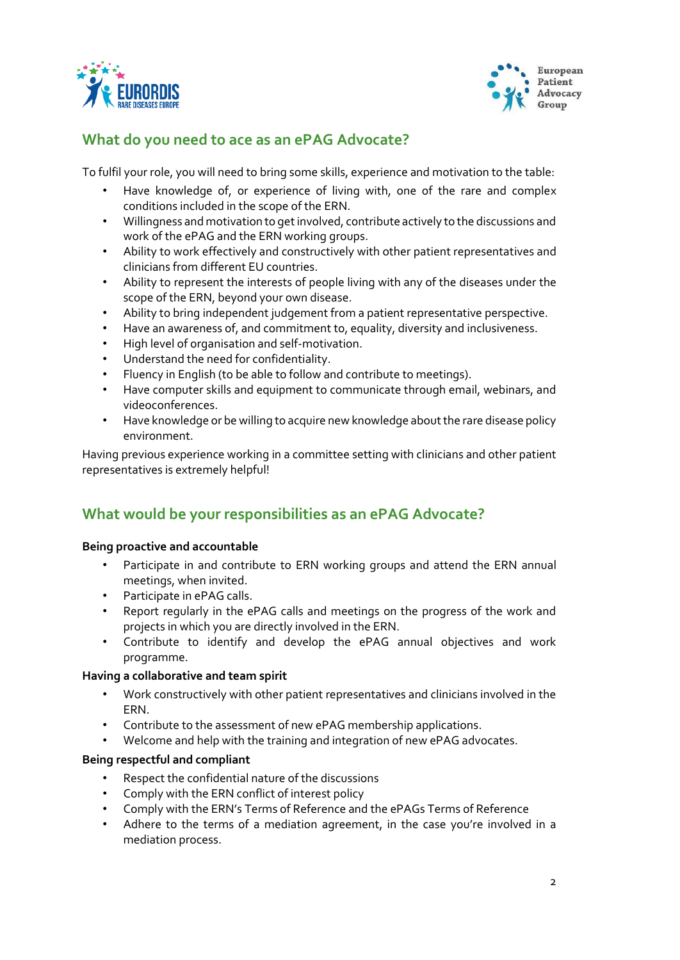



### **What do you need to ace as an ePAG Advocate?**

To fulfil your role, you will need to bring some skills, experience and motivation to the table:

- Have knowledge of, or experience of living with, one of the rare and complex conditions included in the scope of the ERN.
- Willingness and motivation to get involved, contribute actively to the discussions and work of the ePAG and the ERN working groups.
- Ability to work effectively and constructively with other patient representatives and clinicians from different EU countries.
- Ability to represent the interests of people living with any of the diseases under the scope of the ERN, beyond your own disease.
- Ability to bring independent judgement from a patient representative perspective.
- Have an awareness of, and commitment to, equality, diversity and inclusiveness.
- High level of organisation and self-motivation.
- Understand the need for confidentiality.
- Fluency in English (to be able to follow and contribute to meetings).
- Have computer skills and equipment to communicate through email, webinars, and videoconferences.
- Have knowledge or be willing to acquire new knowledge aboutthe rare disease policy environment.

Having previous experience working in a committee setting with clinicians and other patient representatives is extremely helpful!

### **What would be your responsibilities as an ePAG Advocate?**

#### **Being proactive and accountable**

- Participate in and contribute to ERN working groups and attend the ERN annual meetings, when invited.
- Participate in ePAG calls.
- Report regularly in the ePAG calls and meetings on the progress of the work and projects in which you are directly involved in the ERN.
- Contribute to identify and develop the ePAG annual objectives and work programme.

#### **Having a collaborative and team spirit**

- Work constructively with other patient representatives and clinicians involved in the ERN.
- Contribute to the assessment of new ePAG membership applications.
- Welcome and help with the training and integration of new ePAG advocates.

#### **Being respectful and compliant**

- Respect the confidential nature of the discussions
- Comply with the ERN conflict of interest policy
- Comply with the ERN's Terms of Reference and the ePAGs Terms of Reference
- Adhere to the terms of a mediation agreement, in the case you're involved in a mediation process.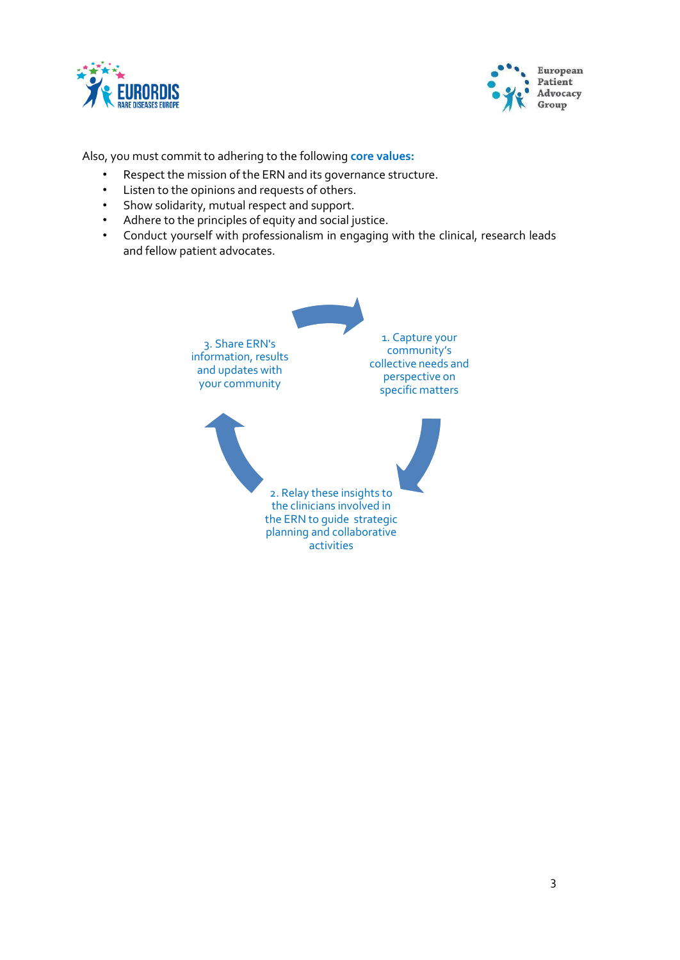



Also, you must commit to adhering to the following **core values:**

- Respect the mission of the ERN and its governance structure.
- Listen to the opinions and requests of others.
- Show solidarity, mutual respect and support.
- Adhere to the principles of equity and social justice.
- Conduct yourself with professionalism in engaging with the clinical, research leads and fellow patient advocates.